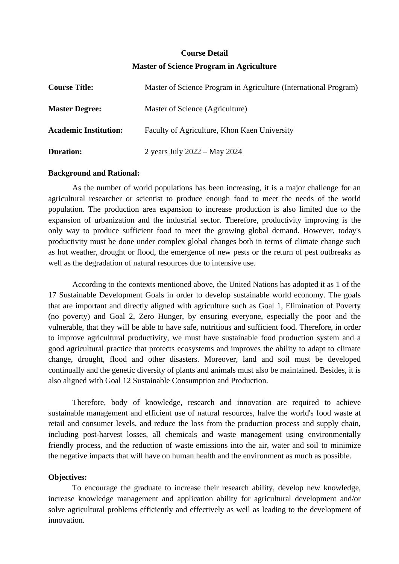# **Course Detail Master of Science Program in Agriculture**

| <b>Course Title:</b>         | Master of Science Program in Agriculture (International Program) |
|------------------------------|------------------------------------------------------------------|
| <b>Master Degree:</b>        | Master of Science (Agriculture)                                  |
| <b>Academic Institution:</b> | Faculty of Agriculture, Khon Kaen University                     |
| <b>Duration:</b>             | 2 years July 2022 – May 2024                                     |

#### **Background and Rational:**

As the number of world populations has been increasing, it is a major challenge for an agricultural researcher or scientist to produce enough food to meet the needs of the world population. The production area expansion to increase production is also limited due to the expansion of urbanization and the industrial sector. Therefore, productivity improving is the only way to produce sufficient food to meet the growing global demand. However, today's productivity must be done under complex global changes both in terms of climate change such as hot weather, drought or flood, the emergence of new pests or the return of pest outbreaks as well as the degradation of natural resources due to intensive use.

According to the contexts mentioned above, the United Nations has adopted it as 1 of the 17 Sustainable Development Goals in order to develop sustainable world economy. The goals that are important and directly aligned with agriculture such as Goal 1, Elimination of Poverty (no poverty) and Goal 2, Zero Hunger, by ensuring everyone, especially the poor and the vulnerable, that they will be able to have safe, nutritious and sufficient food. Therefore, in order to improve agricultural productivity, we must have sustainable food production system and a good agricultural practice that protects ecosystems and improves the ability to adapt to climate change, drought, flood and other disasters. Moreover, land and soil must be developed continually and the genetic diversity of plants and animals must also be maintained. Besides, it is also aligned with Goal 12 Sustainable Consumption and Production.

Therefore, body of knowledge, research and innovation are required to achieve sustainable management and efficient use of natural resources, halve the world's food waste at retail and consumer levels, and reduce the loss from the production process and supply chain, including post-harvest losses, all chemicals and waste management using environmentally friendly process, and the reduction of waste emissions into the air, water and soil to minimize the negative impacts that will have on human health and the environment as much as possible.

## **Objectives:**

To encourage the graduate to increase their research ability, develop new knowledge, increase knowledge management and application ability for agricultural development and/or solve agricultural problems efficiently and effectively as well as leading to the development of innovation.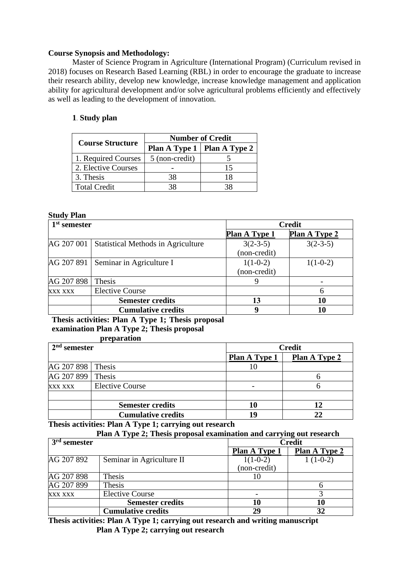## **Course Synopsis and Methodology:**

Master of Science Program in Agriculture (International Program) (Curriculum revised in 2018) focuses on Research Based Learning (RBL) in order to encourage the graduate to increase their research ability, develop new knowledge, increase knowledge management and application ability for agricultural development and/or solve agricultural problems efficiently and effectively as well as leading to the development of innovation.

# **1. Study plan**

|                         | <b>Number of Credit</b> |                               |  |
|-------------------------|-------------------------|-------------------------------|--|
| <b>Course Structure</b> |                         | Plan A Type 1   Plan A Type 2 |  |
| 1. Required Courses     | 5 (non-credit)          |                               |  |
| 2. Elective Courses     |                         | 15                            |  |
| 3. Thesis               | 38                      | 18                            |  |
| <b>Total Credit</b>     | 38                      |                               |  |

#### **Study Plan**

| 1 <sup>st</sup> semester |                                           | <b>Credit</b>        |                      |
|--------------------------|-------------------------------------------|----------------------|----------------------|
|                          |                                           | <b>Plan A Type 1</b> | <b>Plan A Type 2</b> |
| AG 207 001               | <b>Statistical Methods in Agriculture</b> | $3(2-3-5)$           | $3(2-3-5)$           |
|                          |                                           | (non-credit)         |                      |
| AG 207 891               | Seminar in Agriculture I                  | $1(1-0-2)$           | $1(1-0-2)$           |
|                          |                                           | (non-credit)         |                      |
| AG 207 898               | Thesis                                    |                      |                      |
| XXX XXX                  | <b>Elective Course</b>                    |                      | h                    |
|                          | <b>Semester credits</b>                   | 13                   | 10                   |
|                          | <b>Cumulative credits</b>                 |                      | 10                   |

**Thesis activities: Plan A Type 1; Thesis proposal examination Plan A Type 2; Thesis proposal preparation**

| pi cpai ativii            |                              |                      |
|---------------------------|------------------------------|----------------------|
|                           | <b>Credit</b>                |                      |
|                           | Plan A Type 1                | <b>Plan A Type 2</b> |
| Thesis                    | 10                           |                      |
| Thesis                    |                              |                      |
| <b>Elective Course</b>    |                              |                      |
|                           |                              |                      |
| <b>Semester credits</b>   | 10                           |                      |
| <b>Cumulative credits</b> | 19                           | 22                   |
| AG 207 899                | $2nd$ semester<br>AG 207 898 |                      |

**Thesis activities: Plan A Type 1; carrying out research**

| $\overline{3}^{\text{rd}}$ semester |                           |                      | <b>Credit</b>        |  |
|-------------------------------------|---------------------------|----------------------|----------------------|--|
|                                     |                           | <b>Plan A Type 1</b> | <b>Plan A Type 2</b> |  |
| AG 207 892                          | Seminar in Agriculture II | $1(1-0-2)$           | $1(1-0-2)$           |  |
|                                     |                           | (non-credit)         |                      |  |
| AG 207 898                          | Thesis                    |                      |                      |  |
| AG 207 899                          | Thesis                    |                      |                      |  |
| <b>XXX XXX</b>                      | <b>Elective Course</b>    |                      |                      |  |
|                                     | <b>Semester credits</b>   | 10                   | 10                   |  |
|                                     | <b>Cumulative credits</b> | 29                   |                      |  |

**Thesis activities: Plan A Type 1; carrying out research and writing manuscript Plan A Type 2; carrying out research**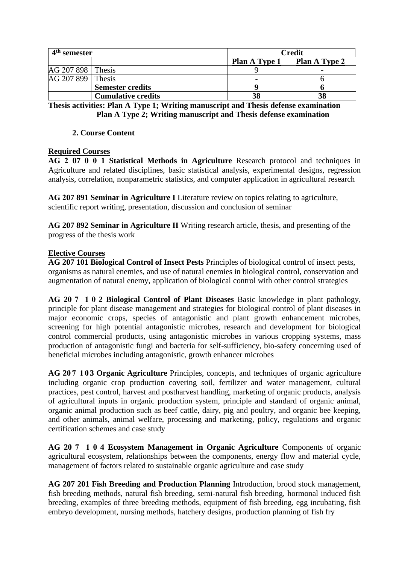| $4th$ semester      |                           | <b>Credit</b>        |                      |
|---------------------|---------------------------|----------------------|----------------------|
|                     |                           | <b>Plan A Type 1</b> | <b>Plan A Type 2</b> |
| AG 207 898   Thesis |                           |                      |                      |
| AG 207 899 Thesis   |                           | $\blacksquare$       |                      |
|                     | <b>Semester credits</b>   |                      |                      |
|                     | <b>Cumulative credits</b> | 38                   |                      |

**Thesis activities: Plan A Type 1; Writing manuscript and Thesis defense examination Plan A Type 2; Writing manuscript and Thesis defense examination**

# **2. Course Content**

# **Required Courses**

**AG 2 07 0 0 1 Statistical Methods in Agriculture** Research protocol and techniques in Agriculture and related disciplines, basic statistical analysis, experimental designs, regression analysis, correlation, nonparametric statistics, and computer application in agricultural research

**AG 207 891 Seminar in Agriculture I** Literature review on topics relating to agriculture, scientific report writing, presentation, discussion and conclusion of seminar

**AG 207 892 Seminar in Agriculture II** Writing research article, thesis, and presenting of the progress of the thesis work

# **Elective Courses**

**AG 207 101 Biological Control of Insect Pests** Principles of biological control of insect pests, organisms as natural enemies, and use of natural enemies in biological control, conservation and augmentation of natural enemy, application of biological control with other control strategies

**AG 20 7 1 0 2 Biological Control of Plant Diseases** Basic knowledge in plant pathology, principle for plant disease management and strategies for biological control of plant diseases in major economic crops, species of antagonistic and plant growth enhancement microbes, screening for high potential antagonistic microbes, research and development for biological control commercial products, using antagonistic microbes in various cropping systems, mass production of antagonistic fungi and bacteria for self-sufficiency, bio-safety concerning used of beneficial microbes including antagonistic, growth enhancer microbes

**AG 20 7 1 0 3 Organic Agriculture** Principles, concepts, and techniques of organic agriculture including organic crop production covering soil, fertilizer and water management, cultural practices, pest control, harvest and postharvest handling, marketing of organic products, analysis of agricultural inputs in organic production system, principle and standard of organic animal, organic animal production such as beef cattle, dairy, pig and poultry, and organic bee keeping, and other animals, animal welfare, processing and marketing, policy, regulations and organic certification schemes and case study

**AG 20 7 1 0 4 Ecosystem Management in Organic Agriculture** Components of organic agricultural ecosystem, relationships between the components, energy flow and material cycle, management of factors related to sustainable organic agriculture and case study

**AG 207 201 Fish Breeding and Production Planning** Introduction, brood stock management, fish breeding methods, natural fish breeding, semi-natural fish breeding, hormonal induced fish breeding, examples of three breeding methods, equipment of fish breeding, egg incubating, fish embryo development, nursing methods, hatchery designs, production planning of fish fry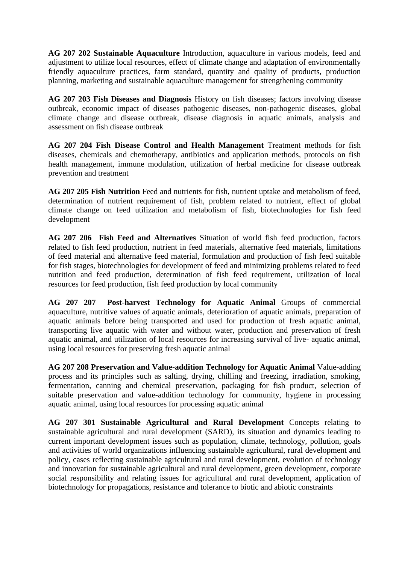**AG 207 202 Sustainable Aquaculture** Introduction, aquaculture in various models, feed and adjustment to utilize local resources, effect of climate change and adaptation of environmentally friendly aquaculture practices, farm standard, quantity and quality of products, production planning, marketing and sustainable aquaculture management for strengthening community

**AG 207 203 Fish Diseases and Diagnosis** History on fish diseases; factors involving disease outbreak, economic impact of diseases pathogenic diseases, non-pathogenic diseases, global climate change and disease outbreak, disease diagnosis in aquatic animals, analysis and assessment on fish disease outbreak

**AG 207 204 Fish Disease Control and Health Management** Treatment methods for fish diseases, chemicals and chemotherapy, antibiotics and application methods, protocols on fish health management, immune modulation, utilization of herbal medicine for disease outbreak prevention and treatment

**AG 207 205 Fish Nutrition** Feed and nutrients for fish, nutrient uptake and metabolism of feed, determination of nutrient requirement of fish, problem related to nutrient, effect of global climate change on feed utilization and metabolism of fish, biotechnologies for fish feed development

**AG 207 206 Fish Feed and Alternatives** Situation of world fish feed production, factors related to fish feed production, nutrient in feed materials, alternative feed materials, limitations of feed material and alternative feed material, formulation and production of fish feed suitable for fish stages, biotechnologies for development of feed and minimizing problems related to feed nutrition and feed production, determination of fish feed requirement, utilization of local resources for feed production, fish feed production by local community

**AG 207 207 Post-harvest Technology for Aquatic Animal** Groups of commercial aquaculture, nutritive values of aquatic animals, deterioration of aquatic animals, preparation of aquatic animals before being transported and used for production of fresh aquatic animal, transporting live aquatic with water and without water, production and preservation of fresh aquatic animal, and utilization of local resources for increasing survival of live- aquatic animal, using local resources for preserving fresh aquatic animal

**AG 207 208 Preservation and Value-addition Technology for Aquatic Animal** Value-adding process and its principles such as salting, drying, chilling and freezing, irradiation, smoking, fermentation, canning and chemical preservation, packaging for fish product, selection of suitable preservation and value-addition technology for community, hygiene in processing aquatic animal, using local resources for processing aquatic animal

**AG 207 301 Sustainable Agricultural and Rural Development** Concepts relating to sustainable agricultural and rural development (SARD), its situation and dynamics leading to current important development issues such as population, climate, technology, pollution, goals and activities of world organizations influencing sustainable agricultural, rural development and policy, cases reflecting sustainable agricultural and rural development, evolution of technology and innovation for sustainable agricultural and rural development, green development, corporate social responsibility and relating issues for agricultural and rural development, application of biotechnology for propagations, resistance and tolerance to biotic and abiotic constraints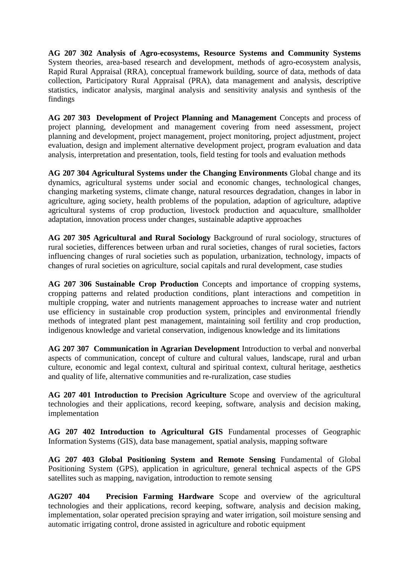**AG 207 302 Analysis of Agro-ecosystems, Resource Systems and Community Systems**  System theories, area-based research and development, methods of agro-ecosystem analysis, Rapid Rural Appraisal (RRA), conceptual framework building, source of data, methods of data collection, Participatory Rural Appraisal (PRA), data management and analysis, descriptive statistics, indicator analysis, marginal analysis and sensitivity analysis and synthesis of the findings

**AG 207 303 Development of Project Planning and Management** Concepts and process of project planning, development and management covering from need assessment, project planning and development, project management, project monitoring, project adjustment, project evaluation, design and implement alternative development project, program evaluation and data analysis, interpretation and presentation, tools, field testing for tools and evaluation methods

**AG 207 304 Agricultural Systems under the Changing Environments** Global change and its dynamics, agricultural systems under social and economic changes, technological changes, changing marketing systems, climate change, natural resources degradation, changes in labor in agriculture, aging society, health problems of the population, adaption of agriculture, adaptive agricultural systems of crop production, livestock production and aquaculture, smallholder adaptation, innovation process under changes, sustainable adaptive approaches

**AG 207 305 Agricultural and Rural Sociology** Background of rural sociology, structures of rural societies, differences between urban and rural societies, changes of rural societies, factors influencing changes of rural societies such as population, urbanization, technology, impacts of changes of rural societies on agriculture, social capitals and rural development, case studies

**AG 207 306 Sustainable Crop Production** Concepts and importance of cropping systems, cropping patterns and related production conditions, plant interactions and competition in multiple cropping, water and nutrients management approaches to increase water and nutrient use efficiency in sustainable crop production system, principles and environmental friendly methods of integrated plant pest management, maintaining soil fertility and crop production, indigenous knowledge and varietal conservation, indigenous knowledge and its limitations

**AG 207 307 Communication in Agrarian Development** Introduction to verbal and nonverbal aspects of communication, concept of culture and cultural values, landscape, rural and urban culture, economic and legal context, cultural and spiritual context, cultural heritage, aesthetics and quality of life, alternative communities and re-ruralization, case studies

**AG 207 401 Introduction to Precision Agriculture** Scope and overview of the agricultural technologies and their applications, record keeping, software, analysis and decision making, implementation

**AG 207 402 Introduction to Agricultural GIS** Fundamental processes of Geographic Information Systems (GIS), data base management, spatial analysis, mapping software

**AG 207 403 Global Positioning System and Remote Sensing** Fundamental of Global Positioning System (GPS), application in agriculture, general technical aspects of the GPS satellites such as mapping, navigation, introduction to remote sensing

**AG207 404 Precision Farming Hardware** Scope and overview of the agricultural technologies and their applications, record keeping, software, analysis and decision making, implementation, solar operated precision spraying and water irrigation, soil moisture sensing and automatic irrigating control, drone assisted in agriculture and robotic equipment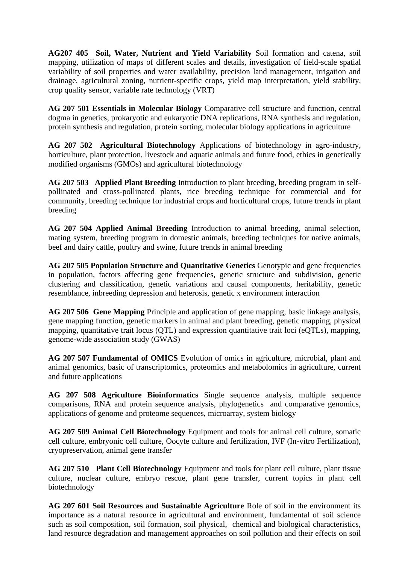**AG207 405 Soil, Water, Nutrient and Yield Variability** Soil formation and catena, soil mapping, utilization of maps of different scales and details, investigation of field-scale spatial variability of soil properties and water availability, precision land management, irrigation and drainage, agricultural zoning, nutrient-specific crops, yield map interpretation, yield stability, crop quality sensor, variable rate technology (VRT)

**AG 207 501 Essentials in Molecular Biology** Comparative cell structure and function, central dogma in genetics, prokaryotic and eukaryotic DNA replications, RNA synthesis and regulation, protein synthesis and regulation, protein sorting, molecular biology applications in agriculture

**AG 207 502 Agricultural Biotechnology** Applications of biotechnology in agro-industry, horticulture, plant protection, livestock and aquatic animals and future food, ethics in genetically modified organisms (GMOs) and agricultural biotechnology

**AG 207 503 Applied Plant Breeding** Introduction to plant breeding, breeding program in selfpollinated and cross-pollinated plants, rice breeding technique for commercial and for community, breeding technique for industrial crops and horticultural crops, future trends in plant breeding

**AG 207 504 Applied Animal Breeding** Introduction to animal breeding, animal selection, mating system, breeding program in domestic animals, breeding techniques for native animals, beef and dairy cattle, poultry and swine, future trends in animal breeding

**AG 207 505 Population Structure and Quantitative Genetics** Genotypic and gene frequencies in population, factors affecting gene frequencies, genetic structure and subdivision, genetic clustering and classification, genetic variations and causal components, heritability, genetic resemblance, inbreeding depression and heterosis, genetic x environment interaction

**AG 207 506 Gene Mapping** Principle and application of gene mapping, basic linkage analysis, gene mapping function, genetic markers in animal and plant breeding, genetic mapping, physical mapping, quantitative trait locus (QTL) and expression quantitative trait loci (eQTLs), mapping, genome-wide association study (GWAS)

**AG 207 507 Fundamental of OMICS** Evolution of omics in agriculture, microbial, plant and animal genomics, basic of transcriptomics, proteomics and metabolomics in agriculture, current and future applications

**AG 207 508 Agriculture Bioinformatics** Single sequence analysis, multiple sequence comparisons, RNA and protein sequence analysis, phylogenetics and comparative genomics, applications of genome and proteome sequences, microarray, system biology

**AG 207 509 Animal Cell Biotechnology** Equipment and tools for animal cell culture, somatic cell culture, embryonic cell culture, Oocyte culture and fertilization, IVF (In-vitro Fertilization), cryopreservation, animal gene transfer

**AG 207 510 Plant Cell Biotechnology** Equipment and tools for plant cell culture, plant tissue culture, nuclear culture, embryo rescue, plant gene transfer, current topics in plant cell biotechnology

**AG 207 601 Soil Resources and Sustainable Agriculture** Role of soil in the environment its importance as a natural resource in agricultural and environment, fundamental of soil science such as soil composition, soil formation, soil physical, chemical and biological characteristics, land resource degradation and management approaches on soil pollution and their effects on soil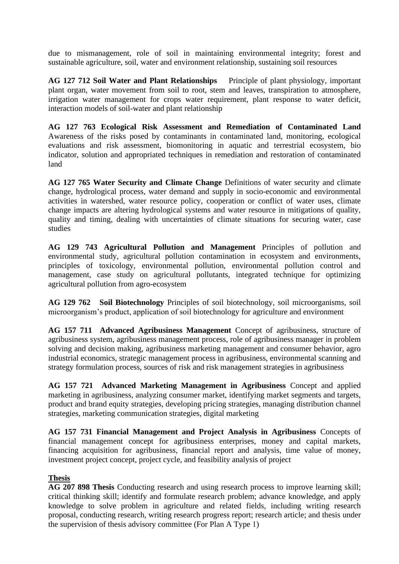due to mismanagement, role of soil in maintaining environmental integrity; forest and sustainable agriculture, soil, water and environment relationship, sustaining soil resources

**AG 127 712 Soil Water and Plant Relationships** Principle of plant physiology, important plant organ, water movement from soil to root, stem and leaves, transpiration to atmosphere, irrigation water management for crops water requirement, plant response to water deficit, interaction models of soil-water and plant relationship

**AG 127 763 Ecological Risk Assessment and Remediation of Contaminated Land**  Awareness of the risks posed by contaminants in contaminated land, monitoring, ecological evaluations and risk assessment, biomonitoring in aquatic and terrestrial ecosystem, bio indicator, solution and appropriated techniques in remediation and restoration of contaminated land

**AG 127 765 Water Security and Climate Change** Definitions of water security and climate change, hydrological process, water demand and supply in socio-economic and environmental activities in watershed, water resource policy, cooperation or conflict of water uses, climate change impacts are altering hydrological systems and water resource in mitigations of quality, quality and timing, dealing with uncertainties of climate situations for securing water, case studies

**AG 129 743 Agricultural Pollution and Management** Principles of pollution and environmental study, agricultural pollution contamination in ecosystem and environments, principles of toxicology, environmental pollution, environmental pollution control and management, case study on agricultural pollutants, integrated technique for optimizing agricultural pollution from agro-ecosystem

**AG 129 762 Soil Biotechnology** Principles of soil biotechnology, soil microorganisms, soil microorganism's product, application of soil biotechnology for agriculture and environment

**AG 157 711 Advanced Agribusiness Management** Concept of agribusiness, structure of agribusiness system, agribusiness management process, role of agribusiness manager in problem solving and decision making, agribusiness marketing management and consumer behavior, agro industrial economics, strategic management process in agribusiness, environmental scanning and strategy formulation process, sources of risk and risk management strategies in agribusiness

**AG 157 721 Advanced Marketing Management in Agribusiness** Concept and applied marketing in agribusiness, analyzing consumer market, identifying market segments and targets, product and brand equity strategies, developing pricing strategies, managing distribution channel strategies, marketing communication strategies, digital marketing

**AG 157 731 Financial Management and Project Analysis in Agribusiness** Concepts of financial management concept for agribusiness enterprises, money and capital markets, financing acquisition for agribusiness, financial report and analysis, time value of money, investment project concept, project cycle, and feasibility analysis of project

# **Thesis**

**AG 207 898 Thesis** Conducting research and using research process to improve learning skill; critical thinking skill; identify and formulate research problem; advance knowledge, and apply knowledge to solve problem in agriculture and related fields, including writing research proposal, conducting research, writing research progress report; research article; and thesis under the supervision of thesis advisory committee (For Plan A Type 1)